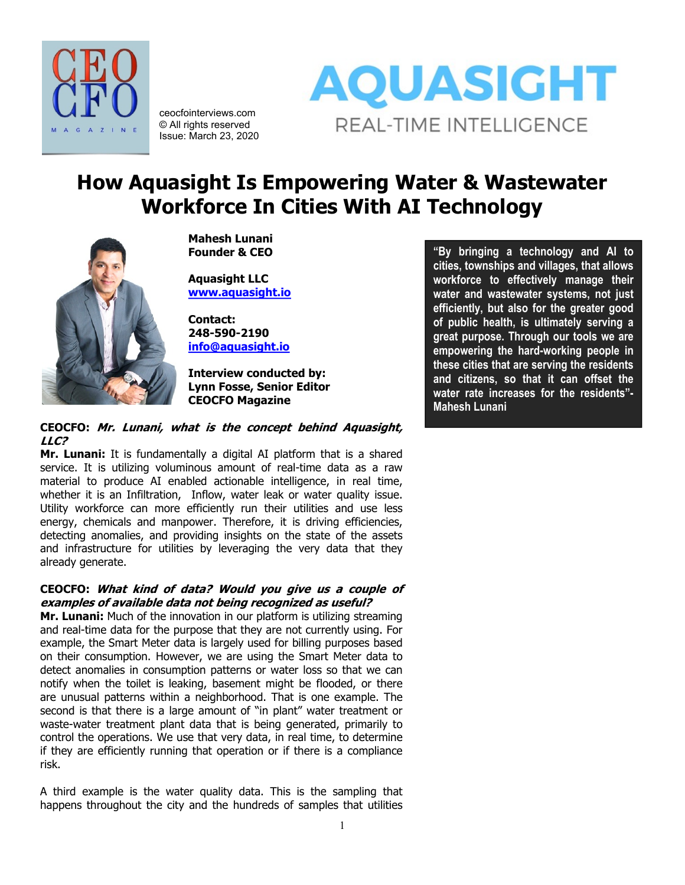

ceocfointerviews.com © All rights reserved Issue: March 23, 2020



# **How Aquasight Is Empowering Water & Wastewater Workforce In Cities With AI Technology**



**Mahesh Lunani Founder & CEO**

**Aquasight LLC [www.aquasight.io](http://www.aquasight.io/)**

**Contact: 248-590-2190 [info@aquasight.io](mailto:info@aquasight.io)**

**Interview conducted by: Lynn Fosse, Senior Editor CEOCFO Magazine**

# **CEOCFO: Mr. Lunani, what is the concept behind Aquasight, LLC?**

**Mr. Lunani:** It is fundamentally a digital AI platform that is a shared service. It is utilizing voluminous amount of real-time data as a raw material to produce AI enabled actionable intelligence, in real time, whether it is an Infiltration, Inflow, water leak or water quality issue. Utility workforce can more efficiently run their utilities and use less energy, chemicals and manpower. Therefore, it is driving efficiencies, detecting anomalies, and providing insights on the state of the assets and infrastructure for utilities by leveraging the very data that they already generate.

# **CEOCFO: What kind of data? Would you give us a couple of examples of available data not being recognized as useful?**

**Mr. Lunani:** Much of the innovation in our platform is utilizing streaming and real-time data for the purpose that they are not currently using. For example, the Smart Meter data is largely used for billing purposes based on their consumption. However, we are using the Smart Meter data to detect anomalies in consumption patterns or water loss so that we can notify when the toilet is leaking, basement might be flooded, or there are unusual patterns within a neighborhood. That is one example. The second is that there is a large amount of "in plant" water treatment or waste-water treatment plant data that is being generated, primarily to control the operations. We use that very data, in real time, to determine if they are efficiently running that operation or if there is a compliance risk.

A third example is the water quality data. This is the sampling that happens throughout the city and the hundreds of samples that utilities

**"By bringing a technology and AI to cities, townships and villages, that allows workforce to effectively manage their water and wastewater systems, not just efficiently, but also for the greater good of public health, is ultimately serving a great purpose. Through our tools we are empowering the hard-working people in these cities that are serving the residents and citizens, so that it can offset the water rate increases for the residents"- Mahesh Lunani**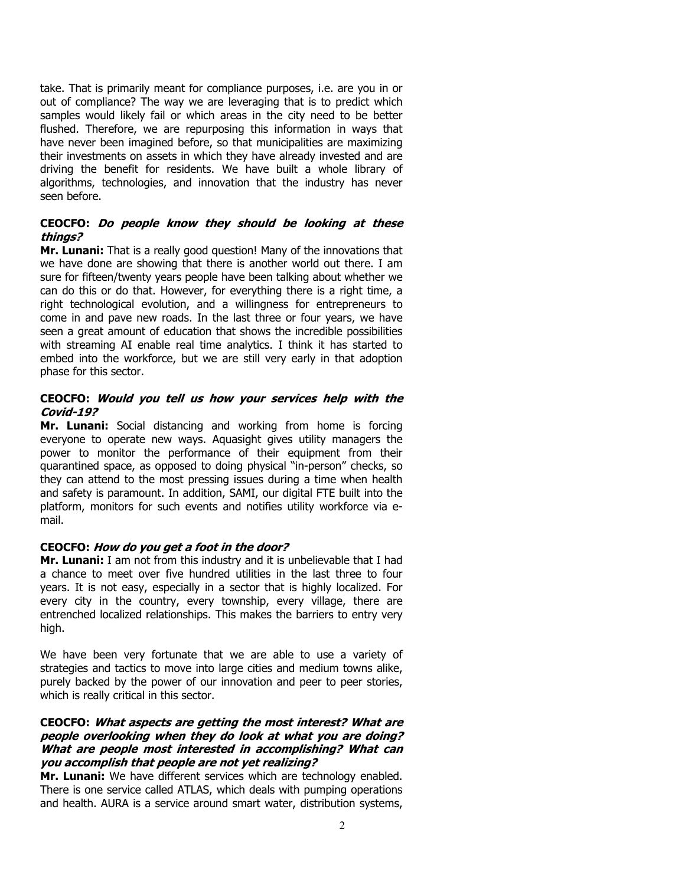take. That is primarily meant for compliance purposes, i.e. are you in or out of compliance? The way we are leveraging that is to predict which samples would likely fail or which areas in the city need to be better flushed. Therefore, we are repurposing this information in ways that have never been imagined before, so that municipalities are maximizing their investments on assets in which they have already invested and are driving the benefit for residents. We have built a whole library of algorithms, technologies, and innovation that the industry has never seen before.

# **CEOCFO: Do people know they should be looking at these things?**

**Mr. Lunani:** That is a really good question! Many of the innovations that we have done are showing that there is another world out there. I am sure for fifteen/twenty years people have been talking about whether we can do this or do that. However, for everything there is a right time, a right technological evolution, and a willingness for entrepreneurs to come in and pave new roads. In the last three or four years, we have seen a great amount of education that shows the incredible possibilities with streaming AI enable real time analytics. I think it has started to embed into the workforce, but we are still very early in that adoption phase for this sector.

# **CEOCFO: Would you tell us how your services help with the Covid-19?**

**Mr. Lunani:** Social distancing and working from home is forcing everyone to operate new ways. Aquasight gives utility managers the power to monitor the performance of their equipment from their quarantined space, as opposed to doing physical "in-person" checks, so they can attend to the most pressing issues during a time when health and safety is paramount. In addition, SAMI, our digital FTE built into the platform, monitors for such events and notifies utility workforce via email.

# **CEOCFO: How do you get a foot in the door?**

**Mr. Lunani:** I am not from this industry and it is unbelievable that I had a chance to meet over five hundred utilities in the last three to four years. It is not easy, especially in a sector that is highly localized. For every city in the country, every township, every village, there are entrenched localized relationships. This makes the barriers to entry very high.

We have been very fortunate that we are able to use a variety of strategies and tactics to move into large cities and medium towns alike, purely backed by the power of our innovation and peer to peer stories, which is really critical in this sector.

### **CEOCFO: What aspects are getting the most interest? What are people overlooking when they do look at what you are doing? What are people most interested in accomplishing? What can you accomplish that people are not yet realizing?**

**Mr. Lunani:** We have different services which are technology enabled. There is one service called ATLAS, which deals with pumping operations and health. AURA is a service around smart water, distribution systems,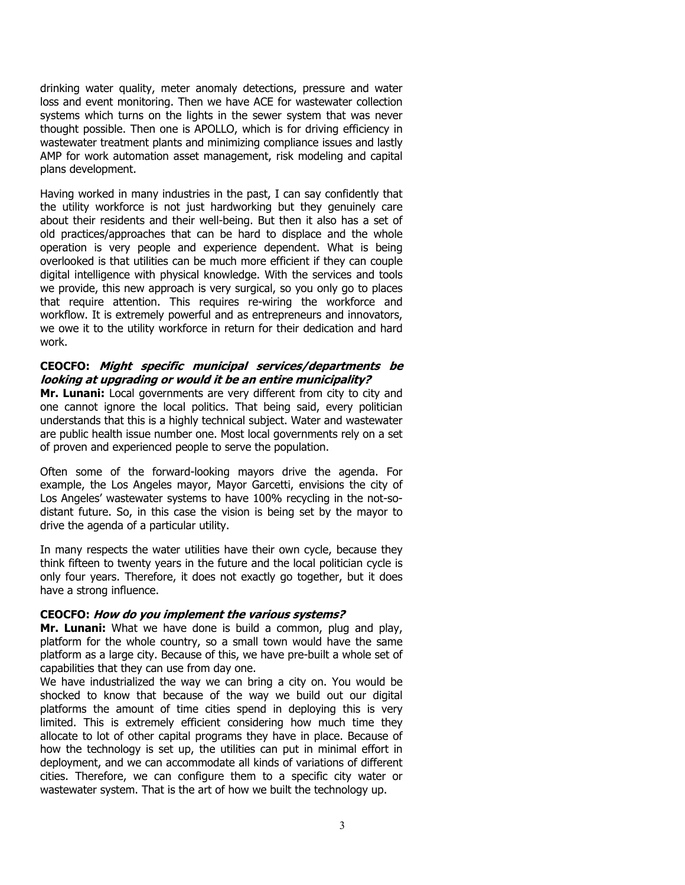drinking water quality, meter anomaly detections, pressure and water loss and event monitoring. Then we have ACE for wastewater collection systems which turns on the lights in the sewer system that was never thought possible. Then one is APOLLO, which is for driving efficiency in wastewater treatment plants and minimizing compliance issues and lastly AMP for work automation asset management, risk modeling and capital plans development.

Having worked in many industries in the past, I can say confidently that the utility workforce is not just hardworking but they genuinely care about their residents and their well-being. But then it also has a set of old practices/approaches that can be hard to displace and the whole operation is very people and experience dependent. What is being overlooked is that utilities can be much more efficient if they can couple digital intelligence with physical knowledge. With the services and tools we provide, this new approach is very surgical, so you only go to places that require attention. This requires re-wiring the workforce and workflow. It is extremely powerful and as entrepreneurs and innovators, we owe it to the utility workforce in return for their dedication and hard work.

### **CEOCFO: Might specific municipal services/departments be looking at upgrading or would it be an entire municipality?**

**Mr. Lunani:** Local governments are very different from city to city and one cannot ignore the local politics. That being said, every politician understands that this is a highly technical subject. Water and wastewater are public health issue number one. Most local governments rely on a set of proven and experienced people to serve the population.

Often some of the forward-looking mayors drive the agenda. For example, the Los Angeles mayor, Mayor Garcetti, envisions the city of Los Angeles' wastewater systems to have 100% recycling in the not-sodistant future. So, in this case the vision is being set by the mayor to drive the agenda of a particular utility.

In many respects the water utilities have their own cycle, because they think fifteen to twenty years in the future and the local politician cycle is only four years. Therefore, it does not exactly go together, but it does have a strong influence.

# **CEOCFO: How do you implement the various systems?**

**Mr. Lunani:** What we have done is build a common, plug and play, platform for the whole country, so a small town would have the same platform as a large city. Because of this, we have pre-built a whole set of capabilities that they can use from day one.

We have industrialized the way we can bring a city on. You would be shocked to know that because of the way we build out our digital platforms the amount of time cities spend in deploying this is very limited. This is extremely efficient considering how much time they allocate to lot of other capital programs they have in place. Because of how the technology is set up, the utilities can put in minimal effort in deployment, and we can accommodate all kinds of variations of different cities. Therefore, we can configure them to a specific city water or wastewater system. That is the art of how we built the technology up.